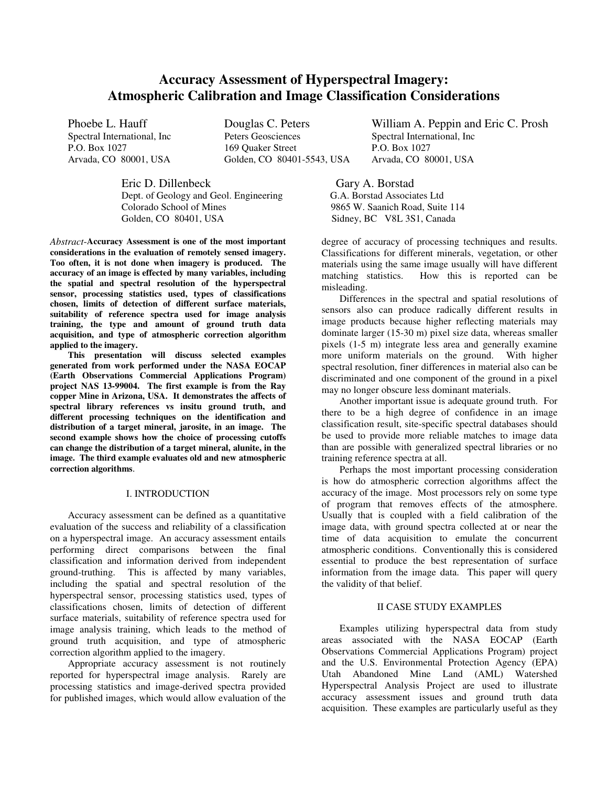# **Accuracy Assessment of Hyperspectral Imagery: Atmospheric Calibration and Image Classification Considerations**

Phoebe L. Hauff **Douglas C. Peters** William A. Peppin and Eric C. Prosh Spectral International. Inc **Peters Geosciences** Spectral International. Inc Spectral International, Inc Peters Geosciences Spectral International, Inc P.O. Box 1027<br>P.O. Box 1027 169 Quaker Street Arvada, CO 80001, USA Golden, CO 80401-5543, USA Arvada, CO 80001, USA

Eric D. Dillenbeck Gary A. Borstad<br>Dept. of Geology and Geol. Engineering G.A. Borstad Associates Ltd Dept. of Geology and Geol. Engineering Colorado School of Mines 9865 W. Saanich Road, Suite 114 Golden, CO 80401, USA Sidney, BC V8L 3S1, Canada

*Abstract*-**Accuracy Assessment is one of the most important considerations in the evaluation of remotely sensed imagery. Too often, it is not done when imagery is produced. The accuracy of an image is effected by many variables, including the spatial and spectral resolution of the hyperspectral sensor, processing statistics used, types of classifications chosen, limits of detection of different surface materials, suitability of reference spectra used for image analysis training, the type and amount of ground truth data acquisition, and type of atmospheric correction algorithm applied to the imagery.**

**This presentation will discuss selected examples generated from work performed under the NASA EOCAP (Earth Observations Commercial Applications Program) project NAS 13-99004. The first example is from the Ray copper Mine in Arizona, USA. It demonstrates the affects of spectral library references vs insitu ground truth, and different processing techniques on the identification and distribution of a target mineral, jarosite, in an image. The second example shows how the choice of processing cutoffs can change the distribution of a target mineral, alunite, in the image. The third example evaluates old and new atmospheric correction algorithms**.

### I. INTRODUCTION

Accuracy assessment can be defined as a quantitative evaluation of the success and reliability of a classification on a hyperspectral image. An accuracy assessment entails performing direct comparisons between the final classification and information derived from independent ground-truthing. This is affected by many variables, including the spatial and spectral resolution of the hyperspectral sensor, processing statistics used, types of classifications chosen, limits of detection of different surface materials, suitability of reference spectra used for image analysis training, which leads to the method of ground truth acquisition, and type of atmospheric correction algorithm applied to the imagery.

Appropriate accuracy assessment is not routinely reported for hyperspectral image analysis. Rarely are processing statistics and image-derived spectra provided for published images, which would allow evaluation of the

degree of accuracy of processing techniques and results. Classifications for different minerals, vegetation, or other materials using the same image usually will have different matching statistics. How this is reported can be misleading.

Differences in the spectral and spatial resolutions of sensors also can produce radically different results in image products because higher reflecting materials may dominate larger (15-30 m) pixel size data, whereas smaller pixels (1-5 m) integrate less area and generally examine more uniform materials on the ground. With higher spectral resolution, finer differences in material also can be discriminated and one component of the ground in a pixel may no longer obscure less dominant materials.

Another important issue is adequate ground truth. For there to be a high degree of confidence in an image classification result, site-specific spectral databases should be used to provide more reliable matches to image data than are possible with generalized spectral libraries or no training reference spectra at all.

Perhaps the most important processing consideration is how do atmospheric correction algorithms affect the accuracy of the image. Most processors rely on some type of program that removes effects of the atmosphere. Usually that is coupled with a field calibration of the image data, with ground spectra collected at or near the time of data acquisition to emulate the concurrent atmospheric conditions. Conventionally this is considered essential to produce the best representation of surface information from the image data. This paper will query the validity of that belief.

# II CASE STUDY EXAMPLES

Examples utilizing hyperspectral data from study areas associated with the NASA EOCAP (Earth Observations Commercial Applications Program) project and the U.S. Environmental Protection Agency (EPA) Utah Abandoned Mine Land (AML) Watershed Hyperspectral Analysis Project are used to illustrate accuracy assessment issues and ground truth data acquisition. These examples are particularly useful as they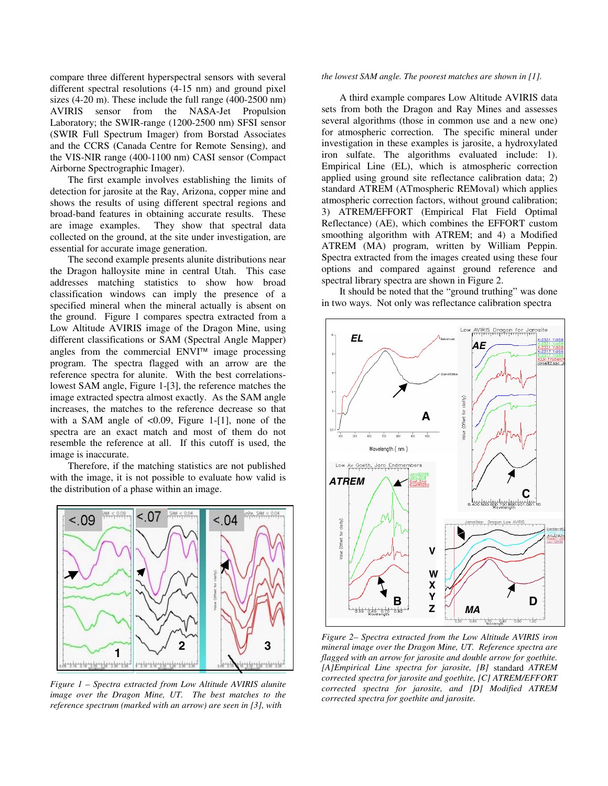compare three different hyperspectral sensors with several different spectral resolutions (4-15 nm) and ground pixel sizes (4-20 m). These include the full range (400-2500 nm) AVIRIS sensor from the NASA-Jet Propulsion Laboratory; the SWIR-range (1200-2500 nm) SFSI sensor (SWIR Full Spectrum Imager) from Borstad Associates and the CCRS (Canada Centre for Remote Sensing), and the VIS-NIR range (400-1100 nm) CASI sensor (Compact Airborne Spectrographic Imager).

The first example involves establishing the limits of detection for jarosite at the Ray, Arizona, copper mine and shows the results of using different spectral regions and broad-band features in obtaining accurate results. These are image examples. They show that spectral data collected on the ground, at the site under investigation, are essential for accurate image generation.

The second example presents alunite distributions near the Dragon halloysite mine in central Utah. This case addresses matching statistics to show how broad classification windows can imply the presence of a specified mineral when the mineral actually is absent on the ground. Figure 1 compares spectra extracted from a Low Altitude AVIRIS image of the Dragon Mine, using different classifications or SAM (Spectral Angle Mapper) angles from the commercial  $ENVI^{M}$  image processing program. The spectra flagged with an arrow are the reference spectra for alunite. With the best correlationslowest SAM angle, Figure 1-[3], the reference matches the image extracted spectra almost exactly. As the SAM angle increases, the matches to the reference decrease so that with a SAM angle of  $< 0.09$ , Figure 1-[1], none of the spectra are an exact match and most of them do not resemble the reference at all. If this cutoff is used, the image is inaccurate.

Therefore, if the matching statistics are not published with the image, it is not possible to evaluate how valid is the distribution of a phase within an image.



*Figure 1 – Spectra extracted from Low Altitude AVIRIS alunite image over the Dragon Mine, UT. The best matches to the reference spectrum (marked with an arrow) are seen in [3], with*

#### *the lowest SAM angle. The poorest matches are shown in [1].*

A third example compares Low Altitude AVIRIS data sets from both the Dragon and Ray Mines and assesses several algorithms (those in common use and a new one) for atmospheric correction. The specific mineral under investigation in these examples is jarosite, a hydroxylated iron sulfate. The algorithms evaluated include: 1). Empirical Line (EL), which is atmospheric correction applied using ground site reflectance calibration data; 2) standard ATREM (ATmospheric REMoval) which applies atmospheric correction factors, without ground calibration; 3) ATREM/EFFORT (Empirical Flat Field Optimal Reflectance) (AE), which combines the EFFORT custom smoothing algorithm with ATREM; and 4) a Modified ATREM (MA) program, written by William Peppin. Spectra extracted from the images created using these four options and compared against ground reference and spectral library spectra are shown in Figure 2.

It should be noted that the "ground truthing" was done in two ways. Not only was reflectance calibration spectra



*Figure 2– Spectra extracted from the Low Altitude AVIRIS iron mineral image over the Dragon Mine, UT. Reference spectra are flagged with an arrow for jarosite and double arrow for goethite. [A]Empirical Line spectra for jarosite, [B]* standard *ATREM corrected spectra for jarosite and goethite, [C] ATREM/EFFORT corrected spectra for jarosite, and [D] Modified ATREM corrected spectra for goethite and jarosite.*